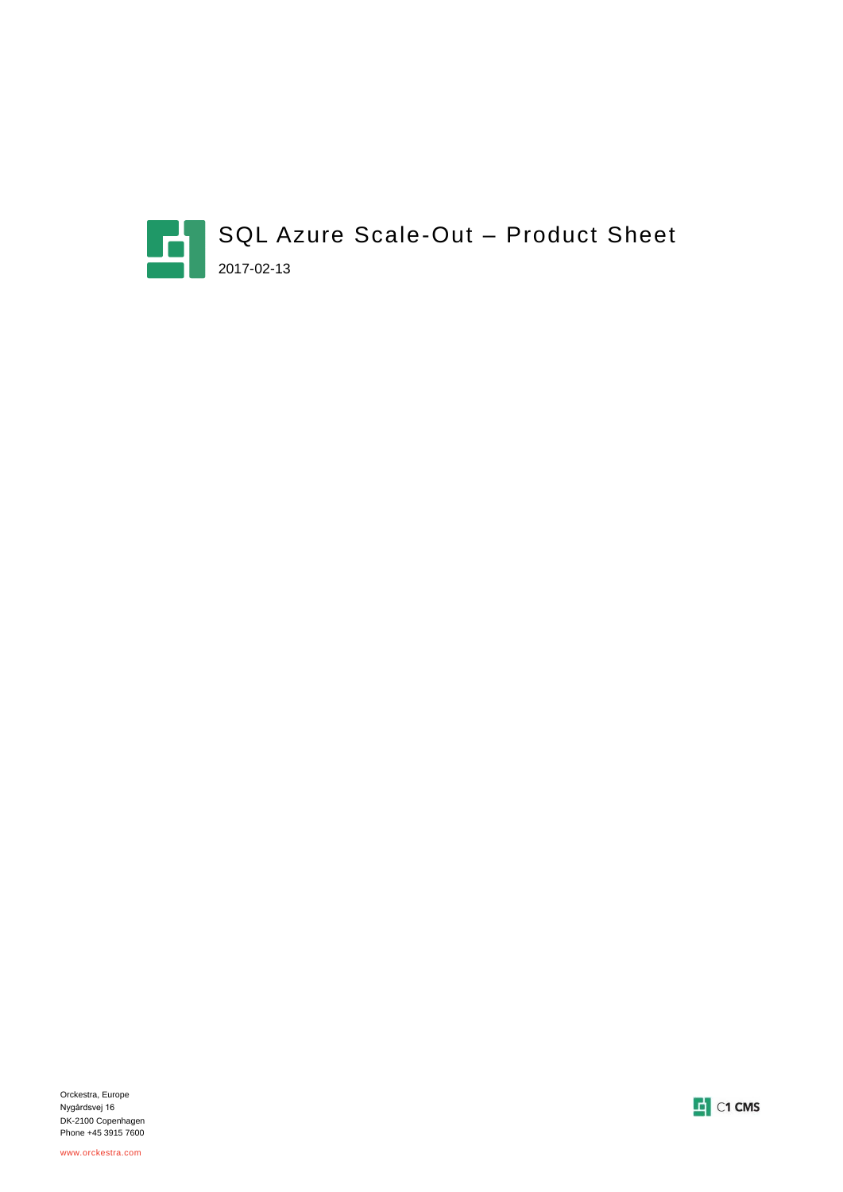

Orckestra, Europe Nygårdsvej 16 DK-2100 Copenhagen Phone +45 3915 7600

www.orckestra.com

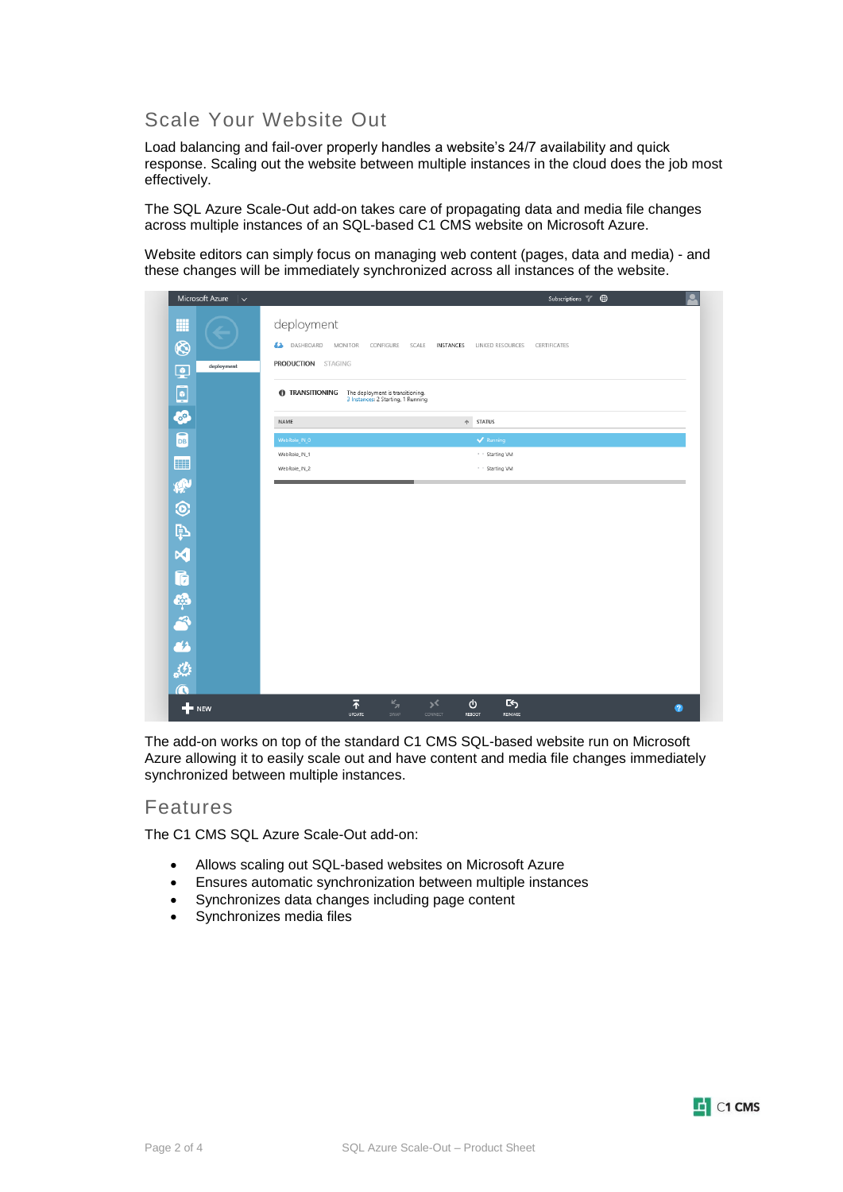## Scale Your Website Out

Load balancing and fail-over properly handles a website's 24/7 availability and quick response. Scaling out the website between multiple instances in the cloud does the job most effectively.

The SQL Azure Scale-Out add-on takes care of propagating data and media file changes across multiple instances of an SQL-based C1 CMS website on Microsoft Azure.

Website editors can simply focus on managing web content (pages, data and media) - and these changes will be immediately synchronized across all instances of the website.

| Microsoft Azure $\vert \vee$ | $\bigoplus$<br>Subscriptions Y                                                                                                           |
|------------------------------|------------------------------------------------------------------------------------------------------------------------------------------|
| m                            | deployment                                                                                                                               |
| $\circledS$<br>deployment    | <b>A</b> DASHBOARD<br><b>MONITOR</b><br>INSTANCES<br>LINKED RESOURCES<br>CONFIGURE<br>SCALE<br>CERTIFICATES<br><b>PRODUCTION STAGING</b> |
| ₽<br>$\bullet$               | <b>n</b> Transitioning<br>The deployment is transitioning.<br>3 Instances: 2 Starting, 1 Running                                         |
| Ø                            | <b>STATUS</b><br>$\Uparrow$<br>NAME                                                                                                      |
| $\overline{5}$               | WebRole_IN_0<br>$\blacktriangleright$ Running                                                                                            |
| ⊞                            | * * Starting VM<br>WebRole_IN_1                                                                                                          |
|                              | WebRole_IN_2<br>· · Starting VM                                                                                                          |
|                              |                                                                                                                                          |
| かのやくにやらいかん                   |                                                                                                                                          |
|                              |                                                                                                                                          |
|                              |                                                                                                                                          |
|                              |                                                                                                                                          |
|                              |                                                                                                                                          |
|                              |                                                                                                                                          |
|                              |                                                                                                                                          |
|                              |                                                                                                                                          |
|                              |                                                                                                                                          |
| $+$ NEW                      | $\bar{P}$<br>$\frac{1}{2}$<br>C۶<br>৩<br>∢د<br>$\bullet$<br>SWAP<br>CONNECT<br><b>UPDATE</b><br><b>REBOOT</b><br>REIMAGE                 |

The add-on works on top of the standard C1 CMS SQL-based website run on Microsoft Azure allowing it to easily scale out and have content and media file changes immediately synchronized between multiple instances.

### Features

The C1 CMS SQL Azure Scale-Out add-on:

- Allows scaling out SQL-based websites on Microsoft Azure
- Ensures automatic synchronization between multiple instances
- Synchronizes data changes including page content
- Synchronizes media files

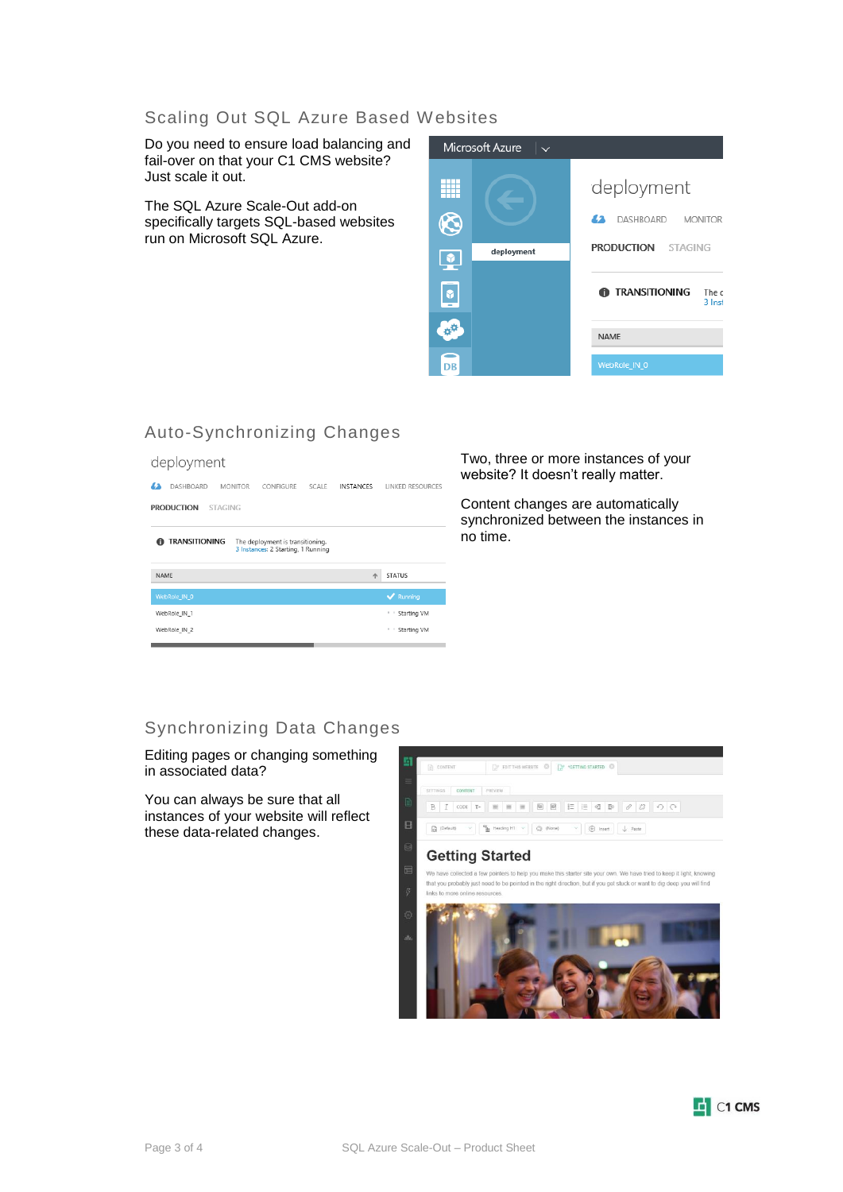### Scaling Out SQL Azure Based Websites

Do you need to ensure load balancing and fail-over on that your C1 CMS website? Just scale it out.

The SQL Azure Scale-Out add-on specifically targets SQL-based websites run on Microsoft SQL Azure.



## Auto-Synchronizing Changes

#### deployment



Two, three or more instances of your website? It doesn't really matter.

Content changes are automatically synchronized between the instances in no time.

### Synchronizing Data Changes

Editing pages or changing something in associated data?

You can always be sure that all instances of your website will reflect these data-related changes.



.<br>We have collected a few pointers to help you make this starter site your own. We have tried to keep it light, knowing that you probably just need to be pointed in the right direction, but if you get stuck or want to dig deep you will find links to more online resources